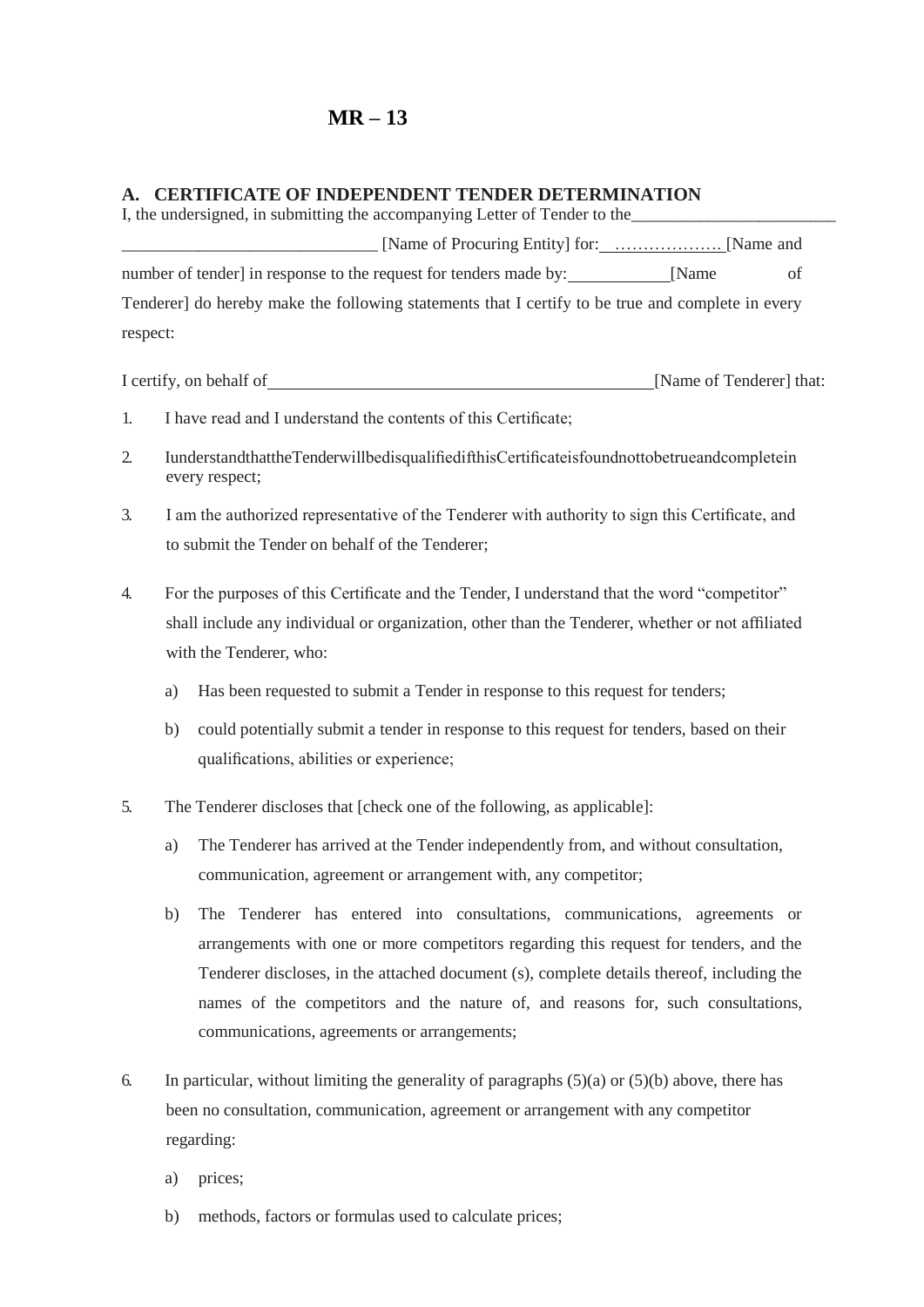## **MR – 13**

## **A. CERTIFICATE OF INDEPENDENT TENDER DETERMINATION**

I, the undersigned, in submitting the accompanying Letter of Tender to the \_\_\_\_\_\_\_\_\_\_\_\_\_\_\_\_\_\_\_\_\_\_\_\_\_\_\_\_\_\_ [Name of Procuring Entity] for: ………………. [Name and number of tender] in response to the request for tenders made by: [Name of Tenderer] do hereby make the following statements that I certify to be true and complete in every respect:

I certify, on behalf of <u>[Name of Tenderer]</u> that:

- 1. I have read and I understand the contents of this Certificate;
- 2. IunderstandthattheTenderwillbedisqualifiedifthisCertificateisfoundnottobetrueandcompletein every respect;
- 3. I am the authorized representative of the Tenderer with authority to sign this Certificate, and to submit the Tender on behalf of the Tenderer;
- 4. For the purposes of this Certificate and the Tender, I understand that the word "competitor" shall include any individual or organization, other than the Tenderer, whether or not affiliated with the Tenderer, who:
	- a) Has been requested to submit a Tender in response to this request for tenders;
	- b) could potentially submit a tender in response to this request for tenders, based on their qualifications, abilities or experience;
- 5. The Tenderer discloses that [check one of the following, as applicable]:
	- a) The Tenderer has arrived at the Tender independently from, and without consultation, communication, agreement or arrangement with, any competitor;
	- b) The Tenderer has entered into consultations, communications, agreements or arrangements with one or more competitors regarding this request for tenders, and the Tenderer discloses, in the attached document (s), complete details thereof, including the names of the competitors and the nature of, and reasons for, such consultations, communications, agreements or arrangements;
- 6. In particular, without limiting the generality of paragraphs  $(5)(a)$  or  $(5)(b)$  above, there has been no consultation, communication, agreement or arrangement with any competitor regarding:
	- a) prices;
	- b) methods, factors or formulas used to calculate prices;